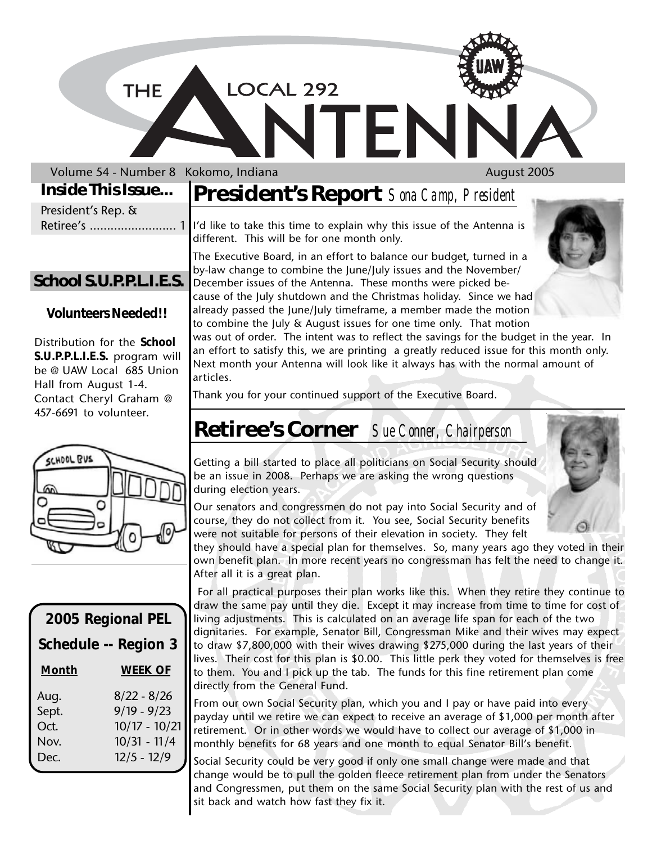LOCAL 292

Volume 54 - Number 8 Kokomo, Indiana August 2005

**THE** 

### **Inside This Issue...**

|                    | Inside This Issue   President's Report Sona Camp, President |
|--------------------|-------------------------------------------------------------|
| President's Rep. & |                                                             |
|                    |                                                             |
|                    | different. This will be for one month only.                 |

**School S.U.P.P.L.I.E.S.**

#### **Volunteers Needed!!**

Distribution for the **School S.U.P.P.L.I.E.S.** program will be @ UAW Local 685 Union Hall from August 1-4. Contact Cheryl Graham @ 457-6691 to volunteer.



| 2005 Regional PEL    |                 |  |
|----------------------|-----------------|--|
| Schedule -- Region 3 |                 |  |
| Month                | <b>WEEK OF</b>  |  |
| Aug.                 | $8/22 - 8/26$   |  |
| Sept.                | $9/19 - 9/23$   |  |
| Oct.                 | $10/17 - 10/21$ |  |
| Nov.                 | $10/31 - 11/4$  |  |
| Dec.                 | $12/5 - 12/9$   |  |
|                      |                 |  |

The Executive Board, in an effort to balance our budget, turned in a by-law change to combine the June/July issues and the November/ December issues of the Antenna. These months were picked because of the July shutdown and the Christmas holiday. Since we had already passed the June/July timeframe, a member made the motion to combine the July & August issues for one time only. That motion

ſF

was out of order. The intent was to reflect the savings for the budget in the year. In an effort to satisfy this, we are printing a greatly reduced issue for this month only. Next month your Antenna will look like it always has with the normal amount of articles.

Thank you for your continued support of the Executive Board.

# **Retiree's Corner** *Sue Conner, Chairperson*

Getting a bill started to place all politicians on Social Security should be an issue in 2008. Perhaps we are asking the wrong questions during election years.

Our senators and congressmen do not pay into Social Security and of course, they do not collect from it. You see, Social Security benefits were not suitable for persons of their elevation in society. They felt

they should have a special plan for themselves. So, many years ago they voted in their own benefit plan. In more recent years no congressman has felt the need to change it. After all it is a great plan.

 For all practical purposes their plan works like this. When they retire they continue to draw the same pay until they die. Except it may increase from time to time for cost of living adjustments. This is calculated on an average life span for each of the two dignitaries. For example, Senator Bill, Congressman Mike and their wives may expect to draw \$7,800,000 with their wives drawing \$275,000 during the last years of their lives. Their cost for this plan is \$0.00. This little perk they voted for themselves is free to them. You and I pick up the tab. The funds for this fine retirement plan come directly from the General Fund.

From our own Social Security plan, which you and I pay or have paid into every payday until we retire we can expect to receive an average of \$1,000 per month after retirement. Or in other words we would have to collect our average of \$1,000 in monthly benefits for 68 years and one month to equal Senator Bill's benefit.

Social Security could be very good if only one small change were made and that change would be to pull the golden fleece retirement plan from under the Senators and Congressmen, put them on the same Social Security plan with the rest of us and sit back and watch how fast they fix it.